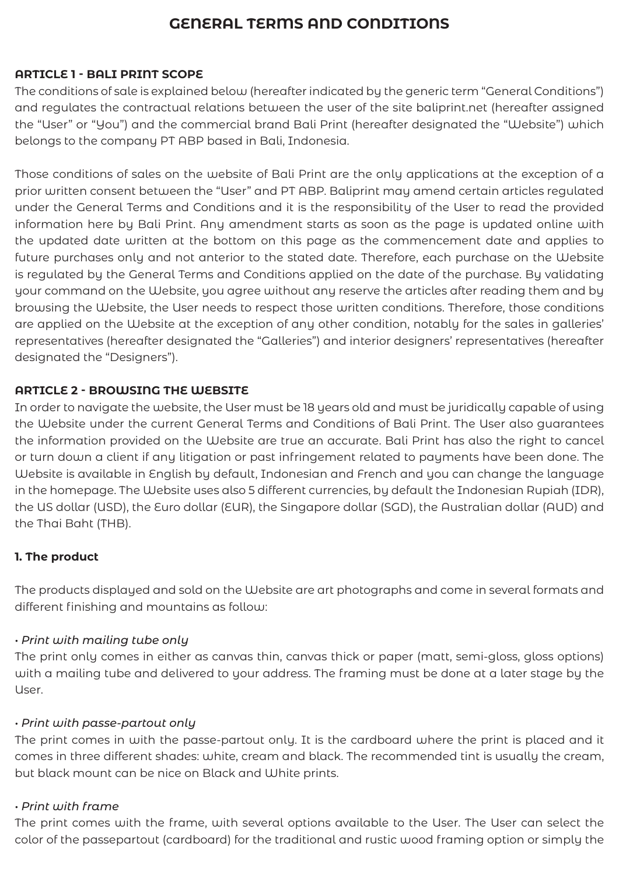# **GENERAL TERMS AND CONDITIONS**

### **ARTICLE 1 - BALI PRINT SCOPE**

The conditions of sale is explained below (hereafter indicated by the generic term "General Conditions") and regulates the contractual relations between the user of the site baliprint.net (hereafter assigned the "User" or "You") and the commercial brand Bali Print (hereafter designated the "Website") which belongs to the company PT ABP based in Bali, Indonesia.

Those conditions of sales on the website of Bali Print are the only applications at the exception of a prior written consent between the "User" and PT ABP. Baliprint may amend certain articles regulated under the General Terms and Conditions and it is the responsibility of the User to read the provided information here by Bali Print. Any amendment starts as soon as the page is updated online with the updated date written at the bottom on this page as the commencement date and applies to future purchases only and not anterior to the stated date. Therefore, each purchase on the Website is regulated by the General Terms and Conditions applied on the date of the purchase. By validating your command on the Website, you agree without any reserve the articles after reading them and by browsing the Website, the User needs to respect those written conditions. Therefore, those conditions are applied on the Website at the exception of any other condition, notably for the sales in galleries' representatives (hereafter designated the "Galleries") and interior designers' representatives (hereafter designated the "Designers").

### **ARTICLE 2 - BROWSING THE WEBSITE**

In order to navigate the website, the User must be 18 years old and must be juridically capable of using the Website under the current General Terms and Conditions of Bali Print. The User also guarantees the information provided on the Website are true an accurate. Bali Print has also the right to cancel or turn down a client if any litigation or past infringement related to payments have been done. The Website is available in English by default, Indonesian and French and you can change the language in the homepage. The Website uses also 5 different currencies, by default the Indonesian Rupiah (IDR), the US dollar (USD), the Euro dollar (EUR), the Singapore dollar (SGD), the Australian dollar (AUD) and the Thai Baht (THB).

# **1. The product**

The products displayed and sold on the Website are art photographs and come in several formats and different finishing and mountains as follow:

### *• Print with mailing tube only*

The print only comes in either as canvas thin, canvas thick or paper (matt, semi-gloss, gloss options) with a mailing tube and delivered to your address. The framing must be done at a later stage by the User.

### *• Print with passe-partout only*

The print comes in with the passe-partout only. It is the cardboard where the print is placed and it comes in three different shades: white, cream and black. The recommended tint is usually the cream, but black mount can be nice on Black and White prints.

### *• Print with frame*

The print comes with the frame, with several options available to the User. The User can select the color of the passepartout (cardboard) for the traditional and rustic wood framing option or simply the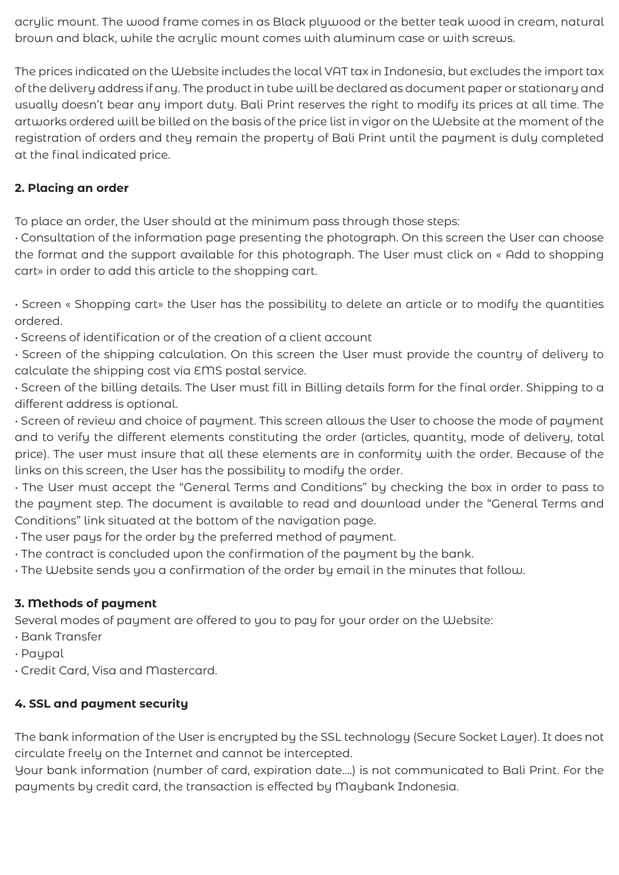acrylic mount. The wood frame comes in as Black plywood or the better teak wood in cream, natural brown and black, while the acrylic mount comes with aluminum case or with screws.

The prices indicated on the Website includes the local VAT tax in Indonesia, but excludes the import tax of the delivery address if any. The product in tube will be declared as document paper or stationary and usually doesn't bear any import duty. Bali Print reserves the right to modify its prices at all time. The artworks ordered will be billed on the basis of the price list in vigor on the Website at the moment of the registration of orders and they remain the property of Bali Print until the payment is duly completed at the final indicated price.

### **2. Placing an order**

To place an order, the User should at the minimum pass through those steps:

• Consultation of the information page presenting the photograph. On this screen the User can choose the format and the support available for this photograph. The User must click on « Add to shopping cart» in order to add this article to the shopping cart.

• Screen « Shopping cart» the User has the possibility to delete an article or to modify the quantities ordered.

• Screens of identification or of the creation of a client account

• Screen of the shipping calculation. On this screen the User must provide the country of delivery to calculate the shipping cost via EMS postal service.

• Screen of the billing details. The User must fill in Billing details form for the final order. Shipping to a different address is optional.

• Screen of review and choice of payment. This screen allows the User to choose the mode of payment and to verify the different elements constituting the order (articles, quantity, mode of delivery, total price). The user must insure that all these elements are in conformity with the order. Because of the links on this screen, the User has the possibility to modify the order.

• The User must accept the "General Terms and Conditions" by checking the box in order to pass to the payment step. The document is available to read and download under the "General Terms and Conditions" link situated at the bottom of the navigation page.

• The user pays for the order by the preferred method of payment.

- The contract is concluded upon the confirmation of the payment by the bank.
- The Website sends you a confirmation of the order by email in the minutes that follow.

# **3. Methods of payment**

Several modes of payment are offered to you to pay for your order on the Website:

- Bank Transfer
- Paypal
- Credit Card, Visa and Mastercard.

# **4. SSL and payment security**

The bank information of the User is encrypted by the SSL technology (Secure Socket Layer). It does not circulate freely on the Internet and cannot be intercepted.

Your bank information (number of card, expiration date….) is not communicated to Bali Print. For the payments by credit card, the transaction is effected by Maybank Indonesia.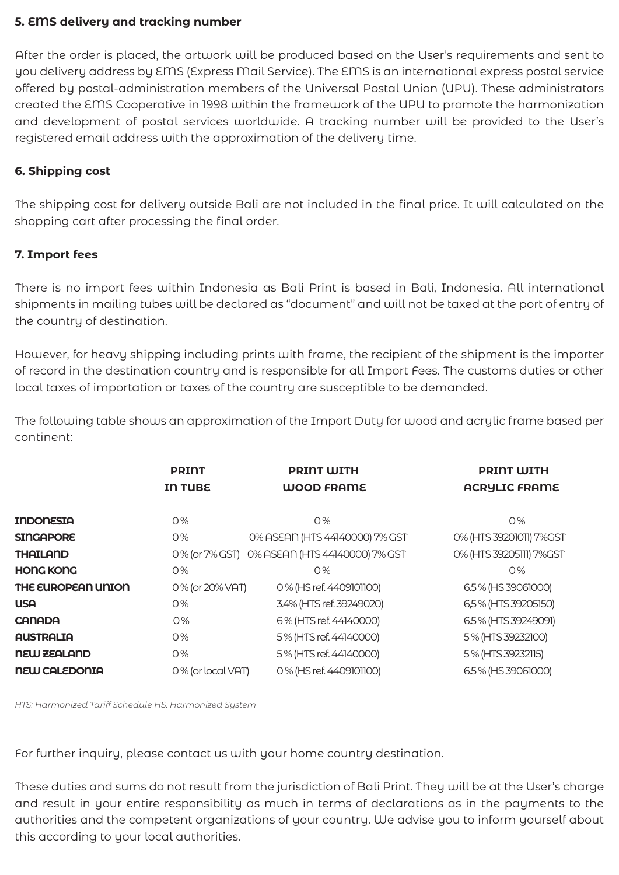#### **5. EMS delivery and tracking number**

After the order is placed, the artwork will be produced based on the User's requirements and sent to you delivery address by EMS (Express Mail Service). The EMS is an international express postal service offered by postal-administration members of the Universal Postal Union (UPU). These administrators created the EMS Cooperative in 1998 within the framework of the UPU to promote the harmonization and development of postal services worldwide. A tracking number will be provided to the User's registered email address with the approximation of the delivery time.

### **6. Shipping cost**

The shipping cost for delivery outside Bali are not included in the final price. It will calculated on the shopping cart after processing the final order.

### **7. Import fees**

There is no import fees within Indonesia as Bali Print is based in Bali, Indonesia. All international shipments in mailing tubes will be declared as "document" and will not be taxed at the port of entry of the country of destination.

However, for heavy shipping including prints with frame, the recipient of the shipment is the importer of record in the destination country and is responsible for all Import Fees. The customs duties or other local taxes of importation or taxes of the country are susceptible to be demanded.

The following table shows an approximation of the Import Duty for wood and acrylic frame based per continent:

|                      | <b>PRINT</b><br><b>IN TUBE</b> | <b>PRINT WITH</b><br><b>WOOD FRAME</b> | <b>PRINT WITH</b><br><b>ACRYLIC FRAME</b> |
|----------------------|--------------------------------|----------------------------------------|-------------------------------------------|
| <b>INDONESIA</b>     | $0\%$                          | $0\%$                                  | 0%                                        |
| <b>SINGAPORE</b>     | 0%                             | 0% ASEAN (HTS 44140000) 7% GST         | 0% (HTS 39201011) 7%GST                   |
| <b>THAILAND</b>      | 0% (or 7% GST)                 | 0% ASEAN (HTS 44140000) 7% GST         | 0% (HTS 39205111) 7%GST                   |
| <b>HONG KONG</b>     | $0\%$                          | $O\%$                                  | 0%                                        |
| THE EUROPEAN UNION   | 0% (or 20% VAT)                | 0% (HS ref. 4409101100)                | 6.5% (HS39061000)                         |
| <b>USA</b>           | $0\%$                          | 3.4% (HTS ref. 39249020)               | 6,5% (HTS 39205150)                       |
| <b>CANADA</b>        | 0%                             | 6% (HTS ref. 44140000)                 | 6.5% (HTS 39249091)                       |
| <b>AUSTRALIA</b>     | O%                             | 5% (HTS ref. 44140000)                 | 5% (HTS 39232100)                         |
| <b>NEW ZEALAND</b>   | 0%                             | 5% (HTS ref. 44140000)                 | 5% (HTS 39232115)                         |
| <b>NEW CALEDONIA</b> | 0% (or local VAT)              | 0% (HS ref. 4409101100)                | 6.5% (HS 39061000)                        |

*HTS: Harmonized Tariff Schedule HS: Harmonized System*

For further inquiry, please contact us with your home country destination.

These duties and sums do not result from the jurisdiction of Bali Print. They will be at the User's charge and result in your entire responsibility as much in terms of declarations as in the payments to the authorities and the competent organizations of your country. We advise you to inform yourself about this according to your local authorities.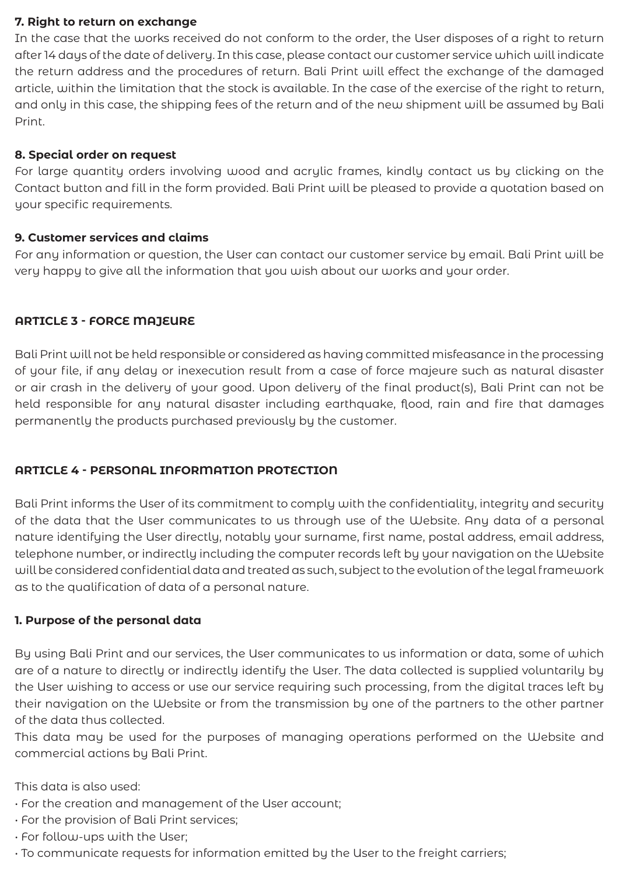#### **7. Right to return on exchange**

In the case that the works received do not conform to the order, the User disposes of a right to return after 14 days of the date of delivery. In this case, please contact our customer service which will indicate the return address and the procedures of return. Bali Print will effect the exchange of the damaged article, within the limitation that the stock is available. In the case of the exercise of the right to return, and only in this case, the shipping fees of the return and of the new shipment will be assumed by Bali Print.

#### **8. Special order on request**

For large quantity orders involving wood and acrylic frames, kindly contact us by clicking on the Contact button and fill in the form provided. Bali Print will be pleased to provide a quotation based on your specific requirements.

#### **9. Customer services and claims**

For any information or question, the User can contact our customer service by email. Bali Print will be very happy to give all the information that you wish about our works and your order.

### **ARTICLE 3 - FORCE MAJEURE**

Bali Print will not be held responsible or considered as having committed misfeasance in the processing of your file, if any delay or inexecution result from a case of force majeure such as natural disaster or air crash in the delivery of your good. Upon delivery of the final product(s), Bali Print can not be held responsible for any natural disaster including earthquake, flood, rain and fire that damages permanently the products purchased previously by the customer.

### **ARTICLE 4 - PERSONAL INFORMATION PROTECTION**

Bali Print informs the User of its commitment to comply with the confidentiality, integrity and security of the data that the User communicates to us through use of the Website. Any data of a personal nature identifying the User directly, notably your surname, first name, postal address, email address, telephone number, or indirectly including the computer records left by your navigation on the Website will be considered confidential data and treated as such, subject to the evolution of the legal framework as to the qualification of data of a personal nature.

### **1. Purpose of the personal data**

By using Bali Print and our services, the User communicates to us information or data, some of which are of a nature to directly or indirectly identify the User. The data collected is supplied voluntarily by the User wishing to access or use our service requiring such processing, from the digital traces left by their navigation on the Website or from the transmission by one of the partners to the other partner of the data thus collected.

This data may be used for the purposes of managing operations performed on the Website and commercial actions by Bali Print.

This data is also used:

- For the creation and management of the User account;
- For the provision of Bali Print services;
- For follow-ups with the User;
- To communicate requests for information emitted by the User to the freight carriers;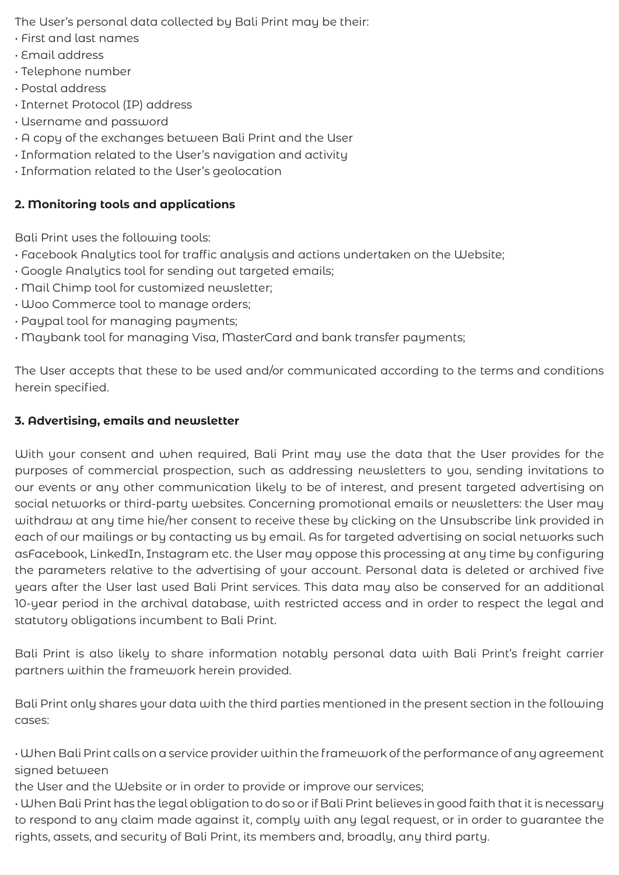The User's personal data collected by Bali Print may be their:

- First and last names
- Email address
- Telephone number
- Postal address
- Internet Protocol (IP) address
- Username and password
- A copy of the exchanges between Bali Print and the User
- Information related to the User's navigation and activity
- Information related to the User's geolocation

### **2. Monitoring tools and applications**

Bali Print uses the following tools:

- Facebook Analytics tool for traffic analysis and actions undertaken on the Website;
- Google Analytics tool for sending out targeted emails;
- Mail Chimp tool for customized newsletter;
- Woo Commerce tool to manage orders;
- Paypal tool for managing payments;
- Maybank tool for managing Visa, MasterCard and bank transfer payments;

The User accepts that these to be used and/or communicated according to the terms and conditions herein specified.

# **3. Advertising, emails and newsletter**

With your consent and when required, Bali Print may use the data that the User provides for the purposes of commercial prospection, such as addressing newsletters to you, sending invitations to our events or any other communication likely to be of interest, and present targeted advertising on social networks or third-party websites. Concerning promotional emails or newsletters: the User may withdraw at any time hie/her consent to receive these by clicking on the Unsubscribe link provided in each of our mailings or by contacting us by email. As for targeted advertising on social networks such asFacebook, LinkedIn, Instagram etc. the User may oppose this processing at any time by configuring the parameters relative to the advertising of your account. Personal data is deleted or archived five years after the User last used Bali Print services. This data may also be conserved for an additional 10-year period in the archival database, with restricted access and in order to respect the legal and statutory obligations incumbent to Bali Print.

Bali Print is also likely to share information notably personal data with Bali Print's freight carrier partners within the framework herein provided.

Bali Print only shares your data with the third parties mentioned in the present section in the following cases:

• When Bali Print calls on a service provider within the framework of the performance of any agreement signed between

the User and the Website or in order to provide or improve our services;

• When Bali Print has the legal obligation to do so or if Bali Print believes in good faith that it is necessary to respond to any claim made against it, comply with any legal request, or in order to guarantee the rights, assets, and security of Bali Print, its members and, broadly, any third party.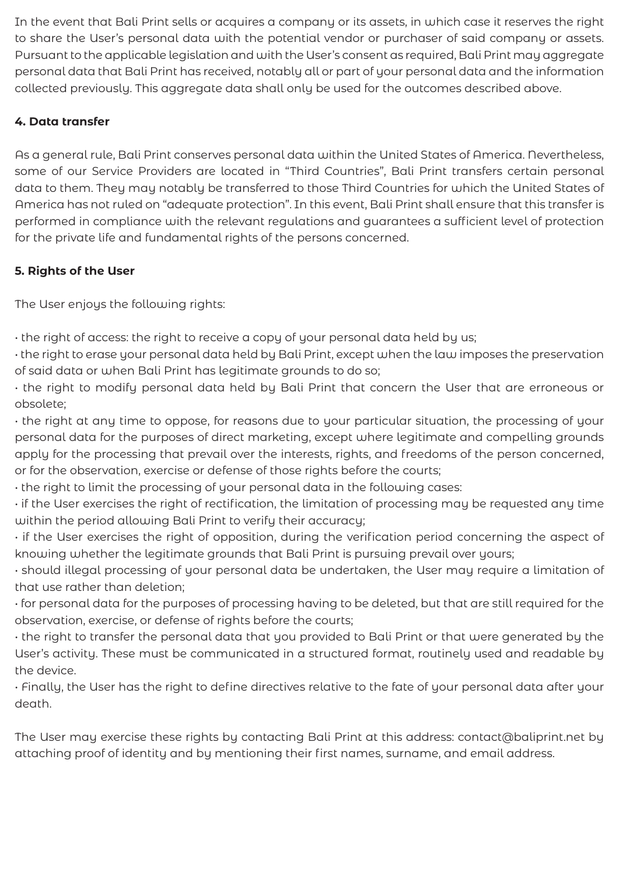In the event that Bali Print sells or acquires a company or its assets, in which case it reserves the right to share the User's personal data with the potential vendor or purchaser of said company or assets. Pursuant to the applicable legislation and with the User's consent as required, Bali Print may aggregate personal data that Bali Print has received, notably all or part of your personal data and the information collected previously. This aggregate data shall only be used for the outcomes described above.

# **4. Data transfer**

As a general rule, Bali Print conserves personal data within the United States of America. Nevertheless, some of our Service Providers are located in "Third Countries", Bali Print transfers certain personal data to them. They may notably be transferred to those Third Countries for which the United States of America has not ruled on "adequate protection". In this event, Bali Print shall ensure that this transfer is performed in compliance with the relevant regulations and guarantees a sufficient level of protection for the private life and fundamental rights of the persons concerned.

# **5. Rights of the User**

The User enjoys the following rights:

• the right of access: the right to receive a copy of your personal data held by us;

• the right to erase your personal data held by Bali Print, except when the law imposes the preservation of said data or when Bali Print has legitimate grounds to do so;

• the right to modify personal data held by Bali Print that concern the User that are erroneous or obsolete;

• the right at any time to oppose, for reasons due to your particular situation, the processing of your personal data for the purposes of direct marketing, except where legitimate and compelling grounds apply for the processing that prevail over the interests, rights, and freedoms of the person concerned, or for the observation, exercise or defense of those rights before the courts;

• the right to limit the processing of your personal data in the following cases:

• if the User exercises the right of rectification, the limitation of processing may be requested any time within the period allowing Bali Print to verify their accuracy;

• if the User exercises the right of opposition, during the verification period concerning the aspect of knowing whether the legitimate grounds that Bali Print is pursuing prevail over yours;

• should illegal processing of your personal data be undertaken, the User may require a limitation of that use rather than deletion;

• for personal data for the purposes of processing having to be deleted, but that are still required for the observation, exercise, or defense of rights before the courts;

• the right to transfer the personal data that you provided to Bali Print or that were generated by the User's activity. These must be communicated in a structured format, routinely used and readable by the device.

• Finally, the User has the right to define directives relative to the fate of your personal data after your death.

The User may exercise these rights by contacting Bali Print at this address: contact@baliprint.net by attaching proof of identity and by mentioning their first names, surname, and email address.